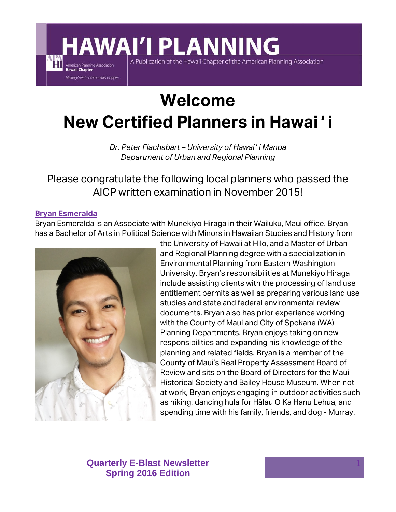## **Welcome New Certified Planners in Hawaiʻi**

A Publication of the Hawaii Chapter of the American Planning Association

**AWAI'I PLANNING** 

*Dr. Peter Flachsbart – University of Hawaiʻi Manoa Department of Urban and Regional Planning* 

Please congratulate the following local planners who passed the AICP written examination in November 2015!

#### **Bryan Esmeralda**

American Planning Association **Hawaii Chapter** 

Making Great Communities Happen

Bryan Esmeralda is an Associate with Munekiyo Hiraga in their Wailuku, Maui office. Bryan has a Bachelor of Arts in Political Science with Minors in Hawaiian Studies and History from



the University of Hawaii at Hilo, and a Master of Urban and Regional Planning degree with a specialization in Environmental Planning from Eastern Washington University. Bryan's responsibilities at Munekiyo Hiraga include assisting clients with the processing of land use entitlement permits as well as preparing various land use studies and state and federal environmental review documents. Bryan also has prior experience working with the County of Maui and City of Spokane (WA) Planning Departments. Bryan enjoys taking on new responsibilities and expanding his knowledge of the planning and related fields. Bryan is a member of the County of Maui's Real Property Assessment Board of Review and sits on the Board of Directors for the Maui Historical Society and Bailey House Museum. When not at work, Bryan enjoys engaging in outdoor activities such as hiking, dancing hula for Hālau O Ka Hanu Lehua, and spending time with his family, friends, and dog - Murray.